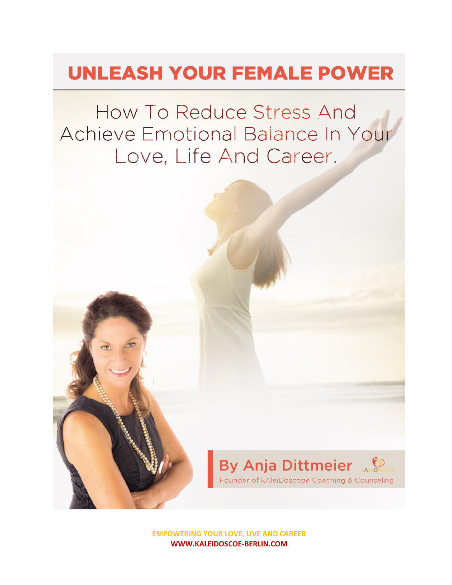# **UNLEASH YOUR FEMALE POWER**

How To Reduce Stress And Achieve Emotional Balance In Your Love, Life And Career.



**EMPOWERING YOUR LOVE, LIVE AND CAREER WWW.KALEIDOSCOE-BERLIN.COM**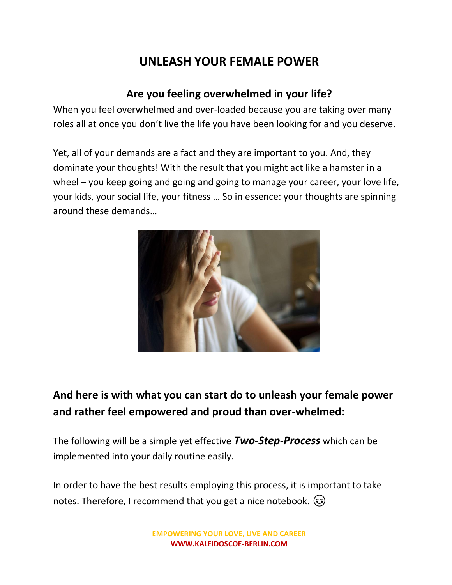## **UNLEASH YOUR FEMALE POWER**

#### **Are you feeling overwhelmed in your life?**

When you feel overwhelmed and over-loaded because you are taking over many roles all at once you don't live the life you have been looking for and you deserve.

Yet, all of your demands are a fact and they are important to you. And, they dominate your thoughts! With the result that you might act like a hamster in a wheel – you keep going and going and going to manage your career, your love life, your kids, your social life, your fitness … So in essence: your thoughts are spinning around these demands…



### **And here is with what you can start do to unleash your female power and rather feel empowered and proud than over-whelmed:**

The following will be a simple yet effective *Two-Step-Process* which can be implemented into your daily routine easily.

In order to have the best results employing this process, it is important to take notes. Therefore, I recommend that you get a nice notebook.  $\odot$ 

> **EMPOWERING YOUR LOVE, LIVE AND CAREER WWW.KALEIDOSCOE-BERLIN.COM**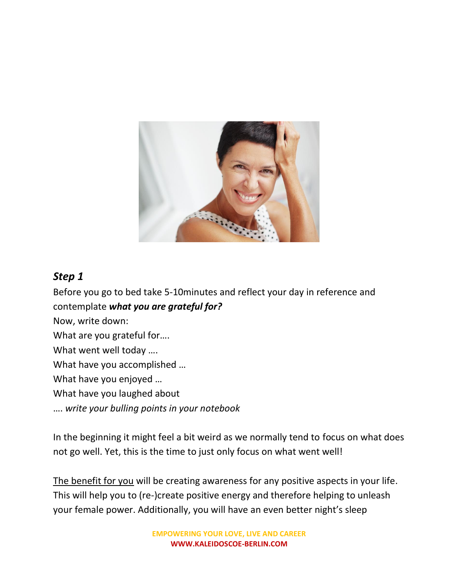

#### *Step 1*

Before you go to bed take 5-10minutes and reflect your day in reference and contemplate *what you are grateful for?* Now, write down: What are you grateful for…. What went well today …. What have you accomplished … What have you enjoyed … What have you laughed about …. *write your bulling points in your notebook*

In the beginning it might feel a bit weird as we normally tend to focus on what does not go well. Yet, this is the time to just only focus on what went well!

The benefit for you will be creating awareness for any positive aspects in your life. This will help you to (re-)create positive energy and therefore helping to unleash your female power. Additionally, you will have an even better night's sleep